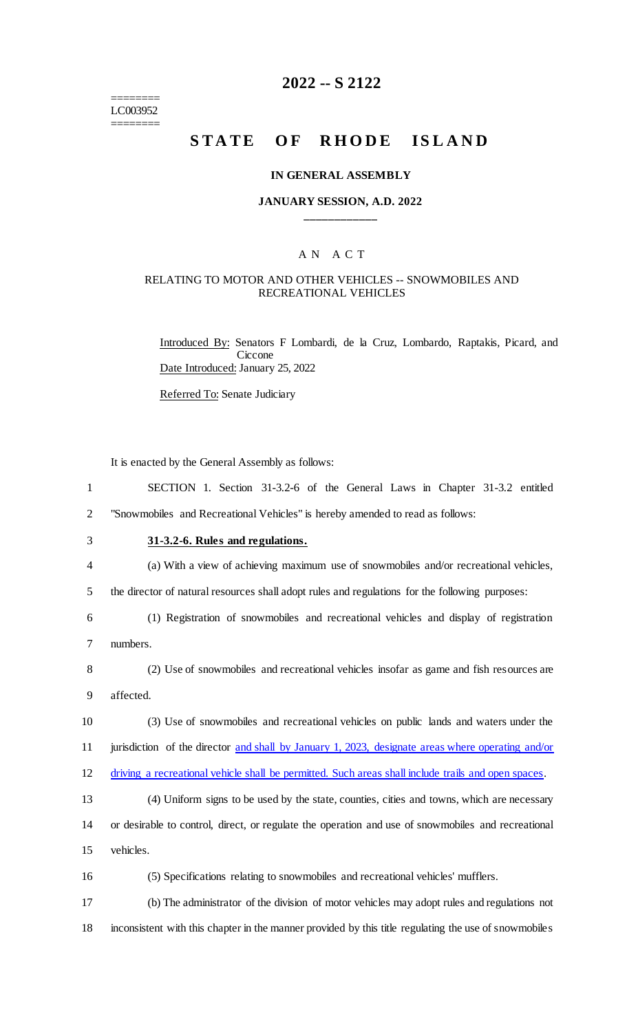======== LC003952 ========

## **2022 -- S 2122**

# **STATE OF RHODE ISLAND**

#### **IN GENERAL ASSEMBLY**

#### **JANUARY SESSION, A.D. 2022 \_\_\_\_\_\_\_\_\_\_\_\_**

#### A N A C T

### RELATING TO MOTOR AND OTHER VEHICLES -- SNOWMOBILES AND RECREATIONAL VEHICLES

Introduced By: Senators F Lombardi, de la Cruz, Lombardo, Raptakis, Picard, and **Ciccone** Date Introduced: January 25, 2022

Referred To: Senate Judiciary

It is enacted by the General Assembly as follows:

| SECTION 1. Section 31-3.2-6 of the General Laws in Chapter 31-3.2 entitled    |  |  |  |  |  |  |  |  |  |  |
|-------------------------------------------------------------------------------|--|--|--|--|--|--|--|--|--|--|
| "Snowmobiles and Recreational Vehicles" is hereby amended to read as follows: |  |  |  |  |  |  |  |  |  |  |

3 **31-3.2-6. Rules and regulations.**

4 (a) With a view of achieving maximum use of snowmobiles and/or recreational vehicles,

5 the director of natural resources shall adopt rules and regulations for the following purposes:

6 (1) Registration of snowmobiles and recreational vehicles and display of registration 7 numbers.

8 (2) Use of snowmobiles and recreational vehicles insofar as game and fish resources are 9 affected.

10 (3) Use of snowmobiles and recreational vehicles on public lands and waters under the 11 jurisdiction of the director and shall by January 1, 2023, designate areas where operating and/or 12 driving a recreational vehicle shall be permitted. Such areas shall include trails and open spaces.

13 (4) Uniform signs to be used by the state, counties, cities and towns, which are necessary 14 or desirable to control, direct, or regulate the operation and use of snowmobiles and recreational 15 vehicles.

16 (5) Specifications relating to snowmobiles and recreational vehicles' mufflers.

17 (b) The administrator of the division of motor vehicles may adopt rules and regulations not 18 inconsistent with this chapter in the manner provided by this title regulating the use of snowmobiles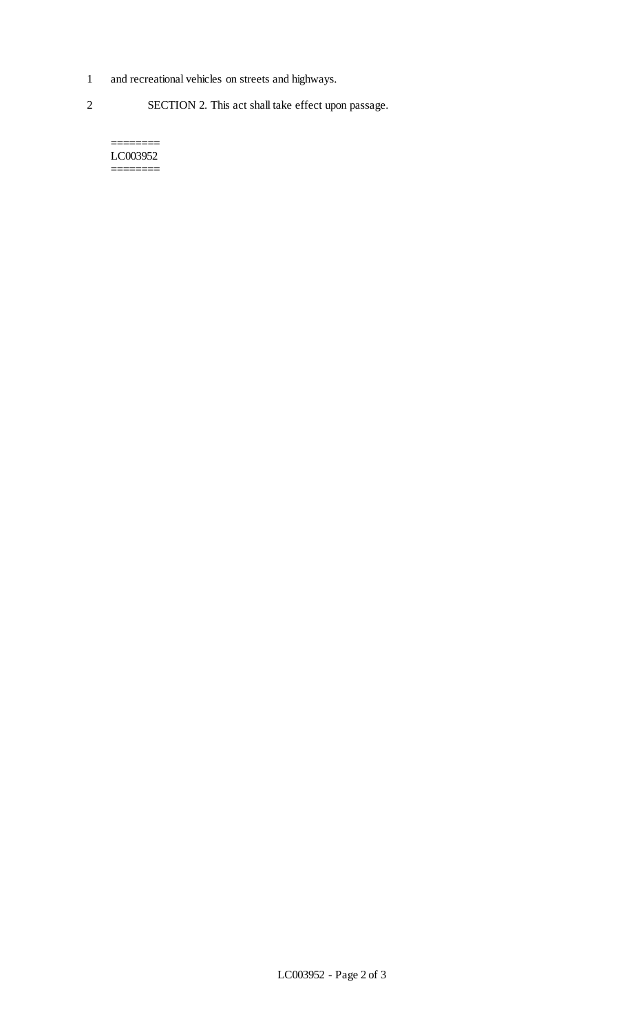- 1 and recreational vehicles on streets and highways.
- 2 SECTION 2. This act shall take effect upon passage.

LC003952 ========

========